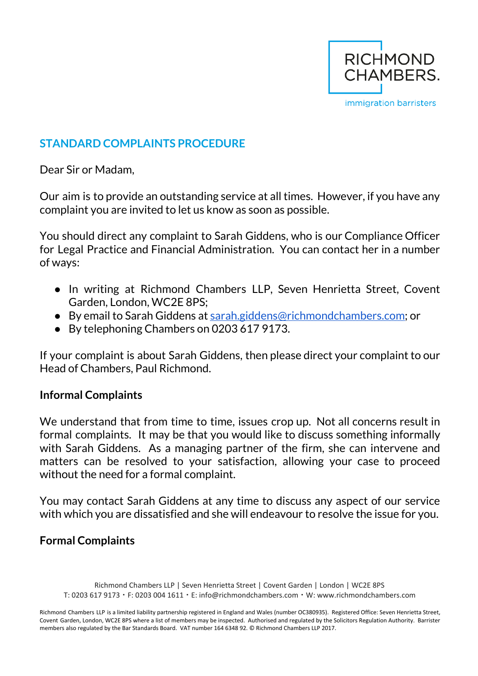

# **STANDARD COMPLAINTS PROCEDURE**

Dear Sir or Madam,

Our aim is to provide an outstanding service at all times. However, if you have any complaint you are invited to let us know as soon as possible.

You should direct any complaint to Sarah Giddens, who is our Compliance Officer for Legal Practice and Financial Administration. You can contact her in a number of ways:

- In writing at Richmond Chambers LLP, Seven Henrietta Street, Covent Garden, London, WC2E 8PS;
- By email to Sarah Giddens at [sarah.giddens@richmondchambers.com](mailto:sarah.giddens@richmondchambers.com); or
- By telephoning Chambers on 0203 617 9173.

If your complaint is about Sarah Giddens, then please direct your complaint to our Head of Chambers, Paul Richmond.

# **Informal Complaints**

We understand that from time to time, issues crop up. Not all concerns result in formal complaints. It may be that you would like to discuss something informally with Sarah Giddens. As a managing partner of the firm, she can intervene and matters can be resolved to your satisfaction, allowing your case to proceed without the need for a formal complaint.

You may contact Sarah Giddens at any time to discuss any aspect of our service with which you are dissatisfied and she will endeavour to resolve the issue for you.

# **Formal Complaints**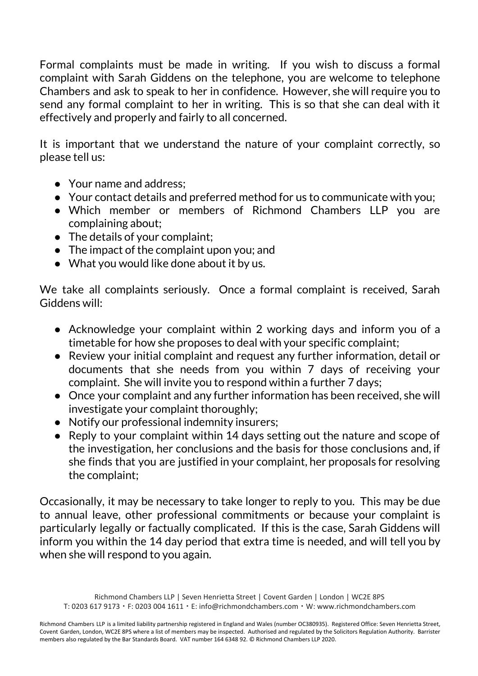Formal complaints must be made in writing. If you wish to discuss a formal complaint with Sarah Giddens on the telephone, you are welcome to telephone Chambers and ask to speak to her in confidence. However, she will require you to send any formal complaint to her in writing. This is so that she can deal with it effectively and properly and fairly to all concerned.

It is important that we understand the nature of your complaint correctly, so please tell us:

- Your name and address:
- Your contact details and preferred method for us to communicate with you;
- Which member or members of Richmond Chambers LLP you are complaining about;
- The details of your complaint;
- The impact of the complaint upon you; and
- What you would like done about it by us.

We take all complaints seriously. Once a formal complaint is received, Sarah Giddens will:

- Acknowledge your complaint within 2 working days and inform you of a timetable for how she proposes to deal with your specific complaint;
- Review your initial complaint and request any further information, detail or documents that she needs from you within 7 days of receiving your complaint. She will invite you to respond within a further 7 days;
- Once your complaint and any further information has been received, she will investigate your complaint thoroughly;
- Notify our professional indemnity insurers;
- Reply to your complaint within 14 days setting out the nature and scope of the investigation, her conclusions and the basis for those conclusions and, if she finds that you are justified in your complaint, her proposals for resolving the complaint;

Occasionally, it may be necessary to take longer to reply to you. This may be due to annual leave, other professional commitments or because your complaint is particularly legally or factually complicated. If this is the case, Sarah Giddens will inform you within the 14 day period that extra time is needed, and will tell you by when she will respond to you again.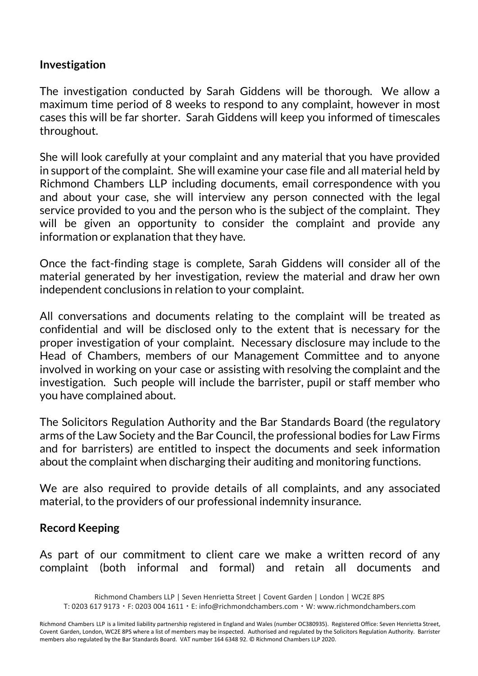# **Investigation**

The investigation conducted by Sarah Giddens will be thorough. We allow a maximum time period of 8 weeks to respond to any complaint, however in most cases this will be far shorter. Sarah Giddens will keep you informed of timescales throughout.

She will look carefully at your complaint and any material that you have provided in support of the complaint. She will examine your case file and all material held by Richmond Chambers LLP including documents, email correspondence with you and about your case, she will interview any person connected with the legal service provided to you and the person who is the subject of the complaint. They will be given an opportunity to consider the complaint and provide any information or explanation that they have.

Once the fact-finding stage is complete, Sarah Giddens will consider all of the material generated by her investigation, review the material and draw her own independent conclusions in relation to your complaint.

All conversations and documents relating to the complaint will be treated as confidential and will be disclosed only to the extent that is necessary for the proper investigation of your complaint. Necessary disclosure may include to the Head of Chambers, members of our Management Committee and to anyone involved in working on your case or assisting with resolving the complaint and the investigation. Such people will include the barrister, pupil or staff member who you have complained about.

The Solicitors Regulation Authority and the Bar Standards Board (the regulatory arms of the Law Society and the Bar Council, the professional bodies for Law Firms and for barristers) are entitled to inspect the documents and seek information about the complaint when discharging their auditing and monitoring functions.

We are also required to provide details of all complaints, and any associated material, to the providers of our professional indemnity insurance.

# **Record Keeping**

As part of our commitment to client care we make a written record of any complaint (both informal and formal) and retain all documents and

Richmond Chambers LLP | Seven Henrietta Street | Covent Garden | London | WC2E 8PS

T: 0203 617 9173 ▪ F: 0203 004 1611 ▪ E: info@richmondchambers.com ▪ W: www.richmondchambers.com

Richmond Chambers LLP is a limited liability partnership registered in England and Wales (number OC380935). Registered Office: Seven Henrietta Street, Covent Garden, London, WC2E 8PS where a list of members may be inspected. Authorised and regulated by the Solicitors Regulation Authority. Barrister members also regulated by the Bar Standards Board. VAT number 164 6348 92. © Richmond Chambers LLP 2020.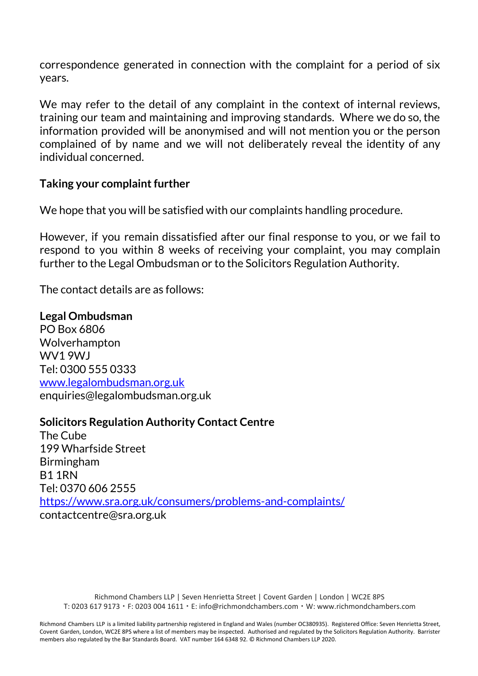correspondence generated in connection with the complaint for a period of six years.

We may refer to the detail of any complaint in the context of internal reviews, training our team and maintaining and improving standards. Where we do so, the information provided will be anonymised and will not mention you or the person complained of by name and we will not deliberately reveal the identity of any individual concerned.

#### **Taking your complaint further**

We hope that you will be satisfied with our complaints handling procedure.

However, if you remain dissatisfied after our final response to you, or we fail to respond to you within 8 weeks of receiving your complaint, you may complain further to the Legal Ombudsman or to the Solicitors Regulation Authority.

The contact details are as follows:

**Legal Ombudsman** PO Box 6806 Wolverhampton WV1 9WJ Tel: 0300 555 0333 [www.legalombudsman.org.uk](http://www.legalombudsman.org.uk/) enquiries@legalombudsman.org.uk

# **Solicitors Regulation Authority Contact Centre**

The Cube 199 Wharfside Street Birmingham B1 1RN Tel: 0370 606 2555 <https://www.sra.org.uk/consumers/problems-and-complaints/> contactcentre@sra.org.uk

Richmond Chambers LLP | Seven Henrietta Street | Covent Garden | London | WC2E 8PS T: 0203 617 9173 ▪ F: 0203 004 1611 ▪ E: info@richmondchambers.com ▪ W: www.richmondchambers.com